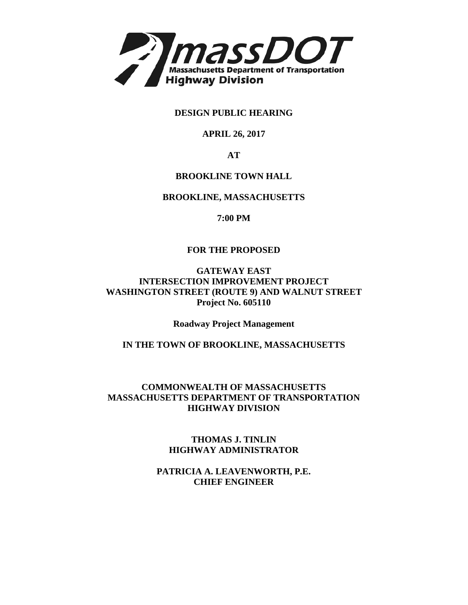

**DESIGN PUBLIC HEARING**

# **APRIL 26, 2017**

**AT**

# **BROOKLINE TOWN HALL**

# **BROOKLINE, MASSACHUSETTS**

**7:00 PM**

# **FOR THE PROPOSED**

#### **GATEWAY EAST INTERSECTION IMPROVEMENT PROJECT WASHINGTON STREET (ROUTE 9) AND WALNUT STREET Project No. 605110**

**Roadway Project Management**

# **IN THE TOWN OF BROOKLINE, MASSACHUSETTS**

# **COMMONWEALTH OF MASSACHUSETTS MASSACHUSETTS DEPARTMENT OF TRANSPORTATION HIGHWAY DIVISION**

**[THOMAS J. TINLIN](mailto:thomas.tinlin@dot.state.ma.us)  HIGHWAY ADMINISTRATOR**

**PATRICIA A. LEAVENWORTH, P.E. CHIEF ENGINEER**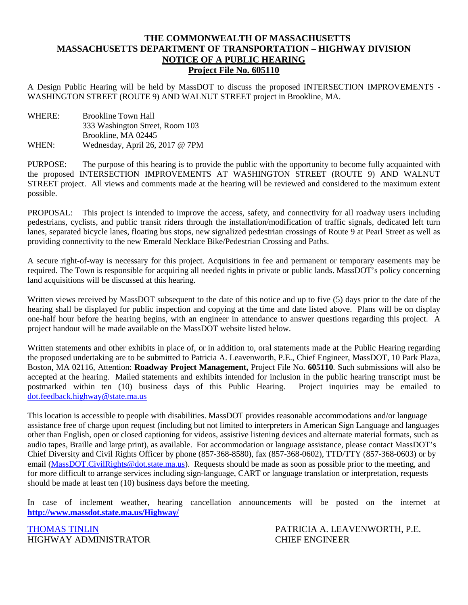# **THE COMMONWEALTH OF MASSACHUSETTS MASSACHUSETTS DEPARTMENT OF TRANSPORTATION – HIGHWAY DIVISION NOTICE OF A PUBLIC HEARING Project File No. 605110**

A Design Public Hearing will be held by MassDOT to discuss the proposed INTERSECTION IMPROVEMENTS - WASHINGTON STREET (ROUTE 9) AND WALNUT STREET project in Brookline, MA.

WHERE: Brookline Town Hall 333 Washington Street, Room 103 Brookline, MA 02445 WHEN: Wednesday, April 26, 2017 @ 7PM

PURPOSE: The purpose of this hearing is to provide the public with the opportunity to become fully acquainted with the proposed INTERSECTION IMPROVEMENTS AT WASHINGTON STREET (ROUTE 9) AND WALNUT STREET project. All views and comments made at the hearing will be reviewed and considered to the maximum extent possible.

PROPOSAL: This project is intended to improve the access, safety, and connectivity for all roadway users including pedestrians, cyclists, and public transit riders through the installation/modification of traffic signals, dedicated left turn lanes, separated bicycle lanes, floating bus stops, new signalized pedestrian crossings of Route 9 at Pearl Street as well as providing connectivity to the new Emerald Necklace Bike/Pedestrian Crossing and Paths.

A secure right-of-way is necessary for this project. Acquisitions in fee and permanent or temporary easements may be required. The Town is responsible for acquiring all needed rights in private or public lands. MassDOT's policy concerning land acquisitions will be discussed at this hearing.

Written views received by MassDOT subsequent to the date of this notice and up to five (5) days prior to the date of the hearing shall be displayed for public inspection and copying at the time and date listed above. Plans will be on display one-half hour before the hearing begins, with an engineer in attendance to answer questions regarding this project. A project handout will be made available on the MassDOT website listed below.

Written statements and other exhibits in place of, or in addition to, oral statements made at the Public Hearing regarding the proposed undertaking are to be submitted to Patricia A. Leavenworth, P.E., Chief Engineer, MassDOT, 10 Park Plaza, Boston, MA 02116, Attention: **Roadway Project Management,** Project File No. **605110**. Such submissions will also be accepted at the hearing. Mailed statements and exhibits intended for inclusion in the public hearing transcript must be postmarked within ten (10) business days of this Public Hearing. Project inquiries may be emailed to [dot.feedback.highway@state.ma.us](mailto:dot.feedback.highway@state.ma.us)

This location is accessible to people with disabilities. MassDOT provides reasonable accommodations and/or language assistance free of charge upon request (including but not limited to interpreters in American Sign Language and languages other than English, open or closed captioning for videos, assistive listening devices and alternate material formats, such as audio tapes, Braille and large print), as available. For accommodation or language assistance, please contact MassDOT's Chief Diversity and Civil Rights Officer by phone (857-368-8580), fax (857-368-0602), TTD/TTY (857-368-0603) or by email [\(MassDOT.CivilRights@dot.state.ma.us\)](mailto:MassDOT.CivilRights@dot.state.ma.us). Requests should be made as soon as possible prior to the meeting, and for more difficult to arrange services including sign-language, CART or language translation or interpretation, requests should be made at least ten (10) business days before the meeting.

In case of inclement weather, hearing cancellation announcements will be posted on the internet at **<http://www.massdot.state.ma.us/Highway/>**

HIGHWAY ADMINISTRATOR CHIEF ENGINEER

[THOMAS TINLIN](mailto:thomas.tinlin@dot.state.ma.us) PATRICIA A. LEAVENWORTH, P.E.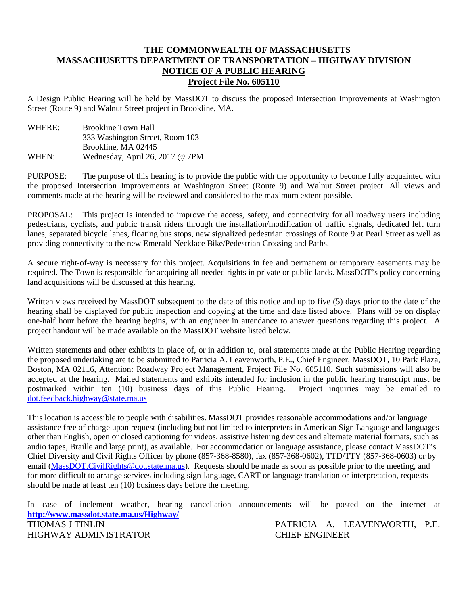#### **THE COMMONWEALTH OF MASSACHUSETTS MASSACHUSETTS DEPARTMENT OF TRANSPORTATION – HIGHWAY DIVISION NOTICE OF A PUBLIC HEARING Project File No. 605110**

A Design Public Hearing will be held by MassDOT to discuss the proposed Intersection Improvements at Washington Street (Route 9) and Walnut Street project in Brookline, MA.

WHERE: Brookline Town Hall 333 Washington Street, Room 103 Brookline, MA 02445 WHEN: Wednesday, April 26, 2017 @ 7PM

PURPOSE: The purpose of this hearing is to provide the public with the opportunity to become fully acquainted with the proposed Intersection Improvements at Washington Street (Route 9) and Walnut Street project. All views and comments made at the hearing will be reviewed and considered to the maximum extent possible.

PROPOSAL: This project is intended to improve the access, safety, and connectivity for all roadway users including pedestrians, cyclists, and public transit riders through the installation/modification of traffic signals, dedicated left turn lanes, separated bicycle lanes, floating bus stops, new signalized pedestrian crossings of Route 9 at Pearl Street as well as providing connectivity to the new Emerald Necklace Bike/Pedestrian Crossing and Paths.

A secure right-of-way is necessary for this project. Acquisitions in fee and permanent or temporary easements may be required. The Town is responsible for acquiring all needed rights in private or public lands. MassDOT's policy concerning land acquisitions will be discussed at this hearing.

Written views received by MassDOT subsequent to the date of this notice and up to five (5) days prior to the date of the hearing shall be displayed for public inspection and copying at the time and date listed above. Plans will be on display one-half hour before the hearing begins, with an engineer in attendance to answer questions regarding this project. A project handout will be made available on the MassDOT website listed below.

Written statements and other exhibits in place of, or in addition to, oral statements made at the Public Hearing regarding the proposed undertaking are to be submitted to Patricia A. Leavenworth, P.E., Chief Engineer, MassDOT, 10 Park Plaza, Boston, MA 02116, Attention: Roadway Project Management, Project File No. 605110. Such submissions will also be accepted at the hearing. Mailed statements and exhibits intended for inclusion in the public hearing transcript must be postmarked within ten (10) business days of this Public Hearing. Project inquiries may be emailed to dot.feedback.highway@state.ma.us

This location is accessible to people with disabilities. MassDOT provides reasonable accommodations and/or language assistance free of charge upon request (including but not limited to interpreters in American Sign Language and languages other than English, open or closed captioning for videos, assistive listening devices and alternate material formats, such as audio tapes, Braille and large print), as available. For accommodation or language assistance, please contact MassDOT's Chief Diversity and Civil Rights Officer by phone (857-368-8580), fax (857-368-0602), TTD/TTY (857-368-0603) or by email (MassDOT.CivilRights@dot.state.ma.us). Requests should be made as soon as possible prior to the meeting, and for more difficult to arrange services including sign-language, CART or language translation or interpretation, requests should be made at least ten (10) business days before the meeting.

In case of inclement weather, hearing cancellation announcements will be posted on the internet at **http://www.massdot.state.ma.us/Highway/** PATRICIA A. LEAVENWORTH, P.E. HIGHWAY ADMINISTRATOR CHIEF ENGINEER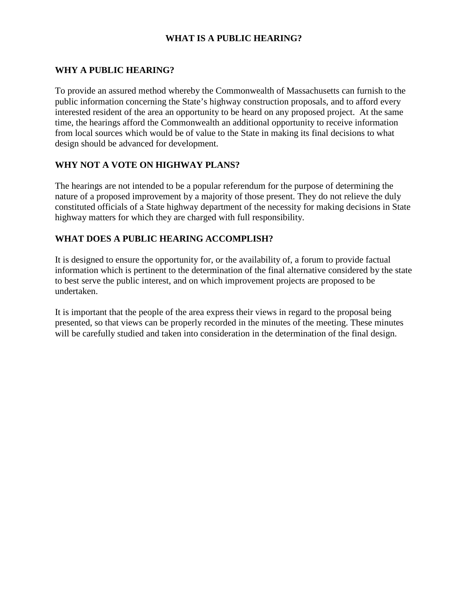# **WHAT IS A PUBLIC HEARING?**

# **WHY A PUBLIC HEARING?**

To provide an assured method whereby the Commonwealth of Massachusetts can furnish to the public information concerning the State's highway construction proposals, and to afford every interested resident of the area an opportunity to be heard on any proposed project. At the same time, the hearings afford the Commonwealth an additional opportunity to receive information from local sources which would be of value to the State in making its final decisions to what design should be advanced for development.

# **WHY NOT A VOTE ON HIGHWAY PLANS?**

The hearings are not intended to be a popular referendum for the purpose of determining the nature of a proposed improvement by a majority of those present. They do not relieve the duly constituted officials of a State highway department of the necessity for making decisions in State highway matters for which they are charged with full responsibility.

# **WHAT DOES A PUBLIC HEARING ACCOMPLISH?**

It is designed to ensure the opportunity for, or the availability of, a forum to provide factual information which is pertinent to the determination of the final alternative considered by the state to best serve the public interest, and on which improvement projects are proposed to be undertaken.

It is important that the people of the area express their views in regard to the proposal being presented, so that views can be properly recorded in the minutes of the meeting. These minutes will be carefully studied and taken into consideration in the determination of the final design.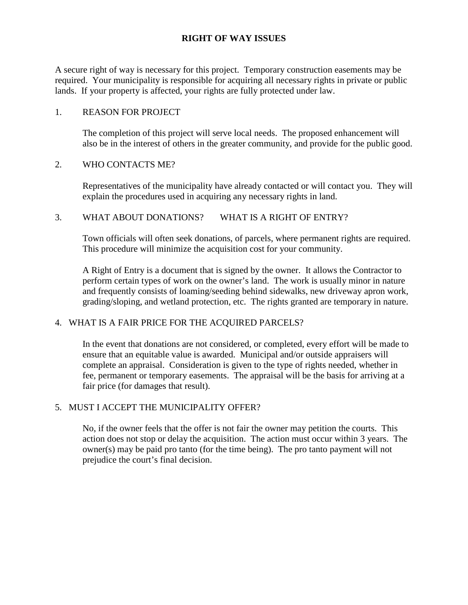# **RIGHT OF WAY ISSUES**

A secure right of way is necessary for this project. Temporary construction easements may be required. Your municipality is responsible for acquiring all necessary rights in private or public lands. If your property is affected, your rights are fully protected under law.

#### 1. REASON FOR PROJECT

The completion of this project will serve local needs. The proposed enhancement will also be in the interest of others in the greater community, and provide for the public good.

#### 2. WHO CONTACTS ME?

Representatives of the municipality have already contacted or will contact you. They will explain the procedures used in acquiring any necessary rights in land.

#### 3. WHAT ABOUT DONATIONS? WHAT IS A RIGHT OF ENTRY?

 Town officials will often seek donations, of parcels, where permanent rights are required. This procedure will minimize the acquisition cost for your community.

A Right of Entry is a document that is signed by the owner. It allows the Contractor to perform certain types of work on the owner's land. The work is usually minor in nature and frequently consists of loaming/seeding behind sidewalks, new driveway apron work, grading/sloping, and wetland protection, etc. The rights granted are temporary in nature.

#### 4. WHAT IS A FAIR PRICE FOR THE ACQUIRED PARCELS?

In the event that donations are not considered, or completed, every effort will be made to ensure that an equitable value is awarded. Municipal and/or outside appraisers will complete an appraisal. Consideration is given to the type of rights needed, whether in fee, permanent or temporary easements. The appraisal will be the basis for arriving at a fair price (for damages that result).

#### 5. MUST I ACCEPT THE MUNICIPALITY OFFER?

No, if the owner feels that the offer is not fair the owner may petition the courts. This action does not stop or delay the acquisition. The action must occur within 3 years. The owner(s) may be paid pro tanto (for the time being). The pro tanto payment will not prejudice the court's final decision.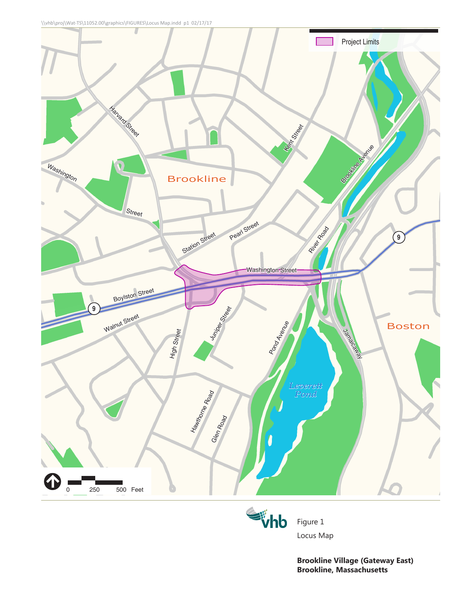



Locus Map

Figure 1

**Brookline Village (Gateway East) Brookline, Massachusetts**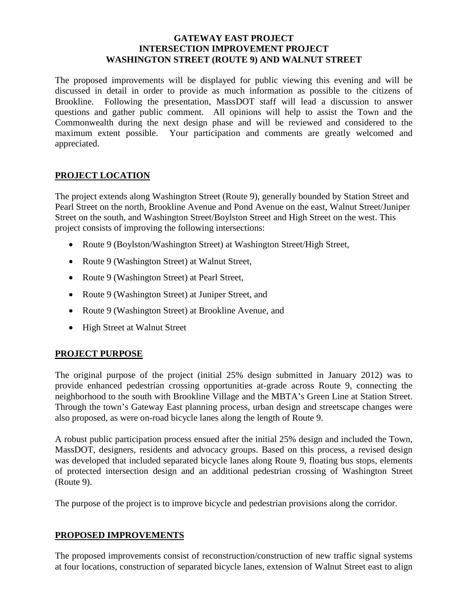## **GATEWAY EAST PROJECT INTERSECTION IMPROVEMENT PROJECT WASHINGTON STREET (ROUTE 9) AND WALNUT STREET**

The proposed improvements will be displayed for public viewing this evening and will be discussed in detail in order to provide as much information as possible to the citizens of Brookline. Following the presentation, MassDOT staff will lead a discussion to answer questions and gather public comment. All opinions will help to assist the Town and the Commonwealth during the next design phase and will be reviewed and considered to the maximum extent possible. Your participation and comments are greatly welcomed and appreciated.

# **PROJECT LOCATION**

The project extends along Washington Street (Route 9), generally bounded by Station Street and Pearl Street on the north, Brookline Avenue and Pond Avenue on the east, Walnut Street/Juniper Street on the south, and Washington Street/Boylston Street and High Street on the west. This project consists of improving the following intersections:

- Route 9 (Boylston/Washington Street) at Washington Street/High Street,
- Route 9 (Washington Street) at Walnut Street,
- Route 9 (Washington Street) at Pearl Street,
- Route 9 (Washington Street) at Juniper Street, and
- Route 9 (Washington Street) at Brookline Avenue, and
- High Street at Walnut Street

#### **PROJECT PURPOSE**

The original purpose of the project (initial 25% design submitted in January 2012) was to provide enhanced pedestrian crossing opportunities at-grade across Route 9, connecting the neighborhood to the south with Brookline Village and the MBTA's Green Line at Station Street. Through the town's Gateway East planning process, urban design and streetscape changes were also proposed, as were on-road bicycle lanes along the length of Route 9.

A robust public participation process ensued after the initial 25% design and included the Town, MassDOT, designers, residents and advocacy groups. Based on this process, a revised design was developed that included separated bicycle lanes along Route 9, floating bus stops, elements of protected intersection design and an additional pedestrian crossing of Washington Street (Route 9).

The purpose of the project is to improve bicycle and pedestrian provisions along the corridor.

#### **PROPOSED IMPROVEMENTS**

The proposed improvements consist of reconstruction/construction of new traffic signal systems at four locations, construction of separated bicycle lanes, extension of Walnut Street east to align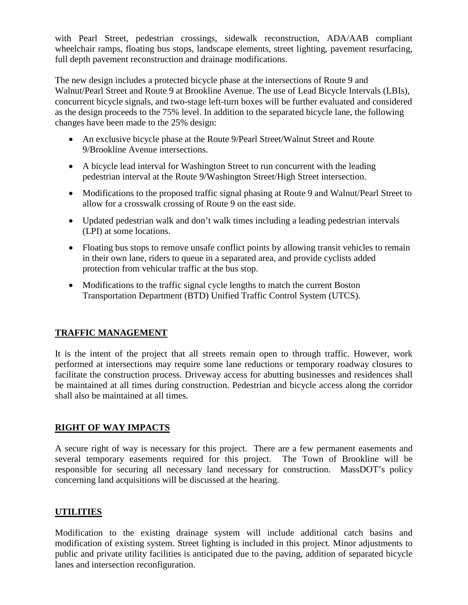with Pearl Street, pedestrian crossings, sidewalk reconstruction, ADA/AAB compliant wheelchair ramps, floating bus stops, landscape elements, street lighting, pavement resurfacing, full depth pavement reconstruction and drainage modifications.

The new design includes a protected bicycle phase at the intersections of Route 9 and Walnut/Pearl Street and Route 9 at Brookline Avenue. The use of Lead Bicycle Intervals (LBIs), concurrent bicycle signals, and two-stage left-turn boxes will be further evaluated and considered as the design proceeds to the 75% level. In addition to the separated bicycle lane, the following changes have been made to the 25% design:

- An exclusive bicycle phase at the Route 9/Pearl Street/Walnut Street and Route 9/Brookline Avenue intersections.
- A bicycle lead interval for Washington Street to run concurrent with the leading pedestrian interval at the Route 9/Washington Street/High Street intersection.
- Modifications to the proposed traffic signal phasing at Route 9 and Walnut/Pearl Street to allow for a crosswalk crossing of Route 9 on the east side.
- Updated pedestrian walk and don't walk times including a leading pedestrian intervals (LPI) at some locations.
- Floating bus stops to remove unsafe conflict points by allowing transit vehicles to remain in their own lane, riders to queue in a separated area, and provide cyclists added protection from vehicular traffic at the bus stop.
- Modifications to the traffic signal cycle lengths to match the current Boston Transportation Department (BTD) Unified Traffic Control System (UTCS).

# **TRAFFIC MANAGEMENT**

It is the intent of the project that all streets remain open to through traffic. However, work performed at intersections may require some lane reductions or temporary roadway closures to facilitate the construction process. Driveway access for abutting businesses and residences shall be maintained at all times during construction. Pedestrian and bicycle access along the corridor shall also be maintained at all times.

# **RIGHT OF WAY IMPACTS**

A secure right of way is necessary for this project. There are a few permanent easements and several temporary easements required for this project. The Town of Brookline will be responsible for securing all necessary land necessary for construction. MassDOT's policy concerning land acquisitions will be discussed at the hearing.

# **UTILITIES**

Modification to the existing drainage system will include additional catch basins and modification of existing system. Street lighting is included in this project. Minor adjustments to public and private utility facilities is anticipated due to the paving, addition of separated bicycle lanes and intersection reconfiguration.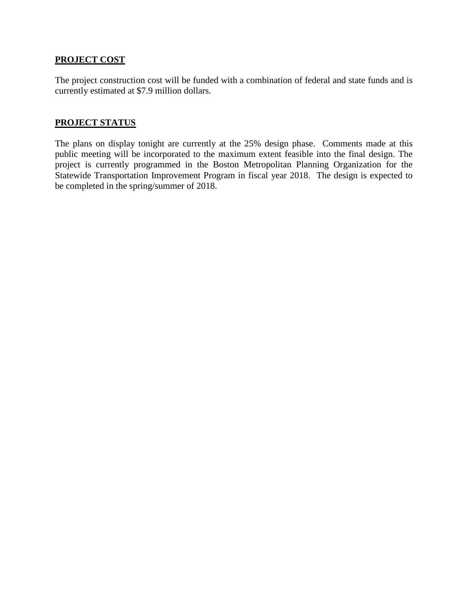# **PROJECT COST**

The project construction cost will be funded with a combination of federal and state funds and is currently estimated at \$7.9 million dollars.

# **PROJECT STATUS**

The plans on display tonight are currently at the 25% design phase. Comments made at this public meeting will be incorporated to the maximum extent feasible into the final design. The project is currently programmed in the Boston Metropolitan Planning Organization for the Statewide Transportation Improvement Program in fiscal year 2018. The design is expected to be completed in the spring/summer of 2018.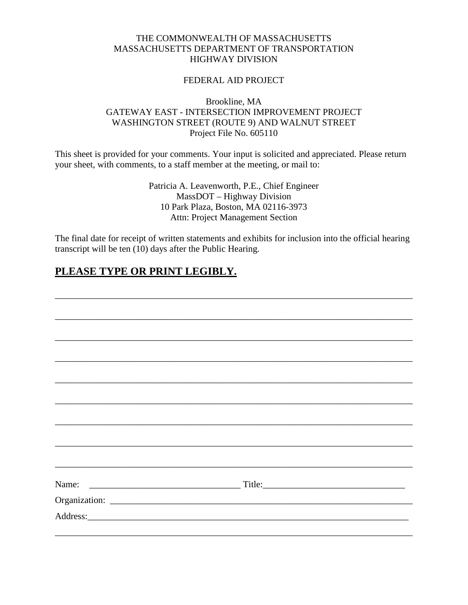### THE COMMONWEALTH OF MASSACHUSETTS MASSACHUSETTS DEPARTMENT OF TRANSPORTATION HIGHWAY DIVISION

#### FEDERAL AID PROJECT

# Brookline, MA GATEWAY EAST - INTERSECTION IMPROVEMENT PROJECT WASHINGTON STREET (ROUTE 9) AND WALNUT STREET Project File No. 605110

This sheet is provided for your comments. Your input is solicited and appreciated. Please return your sheet, with comments, to a staff member at the meeting, or mail to:

> Patricia A. Leavenworth, P.E., Chief Engineer MassDOT – Highway Division 10 Park Plaza, Boston, MA 02116-3973 Attn: Project Management Section

The final date for receipt of written statements and exhibits for inclusion into the official hearing transcript will be ten (10) days after the Public Hearing.

# **PLEASE TYPE OR PRINT LEGIBLY.**

|                                                                                   | $\boxed{\text{Title:}}$ |
|-----------------------------------------------------------------------------------|-------------------------|
|                                                                                   |                         |
|                                                                                   |                         |
|                                                                                   |                         |
| ,我们也不能在这里的时候,我们也不能在这里的时候,我们也不能会在这里的时候,我们也不能会在这里的时候,我们也不能会在这里的时候,我们也不能会在这里的时候,我们也不 |                         |
|                                                                                   |                         |